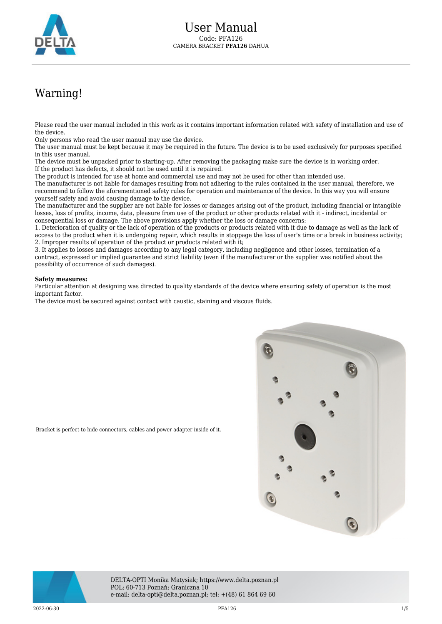

## Warning!

Please read the user manual included in this work as it contains important information related with safety of installation and use of the device.

Only persons who read the user manual may use the device.

The user manual must be kept because it may be required in the future. The device is to be used exclusively for purposes specified in this user manual.

The device must be unpacked prior to starting-up. After removing the packaging make sure the device is in working order. If the product has defects, it should not be used until it is repaired.

The product is intended for use at home and commercial use and may not be used for other than intended use.

The manufacturer is not liable for damages resulting from not adhering to the rules contained in the user manual, therefore, we recommend to follow the aforementioned safety rules for operation and maintenance of the device. In this way you will ensure yourself safety and avoid causing damage to the device.

The manufacturer and the supplier are not liable for losses or damages arising out of the product, including financial or intangible losses, loss of profits, income, data, pleasure from use of the product or other products related with it - indirect, incidental or consequential loss or damage. The above provisions apply whether the loss or damage concerns:

1. Deterioration of quality or the lack of operation of the products or products related with it due to damage as well as the lack of access to the product when it is undergoing repair, which results in stoppage the loss of user's time or a break in business activity; 2. Improper results of operation of the product or products related with it;

3. It applies to losses and damages according to any legal category, including negligence and other losses, termination of a contract, expressed or implied guarantee and strict liability (even if the manufacturer or the supplier was notified about the possibility of occurrence of such damages).

## **Safety measures:**

Particular attention at designing was directed to quality standards of the device where ensuring safety of operation is the most important factor.

The device must be secured against contact with caustic, staining and viscous fluids.

Bracket is perfect to hide connectors, cables and power adapter inside of it.





DELTA-OPTI Monika Matysiak; https://www.delta.poznan.pl POL; 60-713 Poznań; Graniczna 10 e-mail: delta-opti@delta.poznan.pl; tel: +(48) 61 864 69 60

 $2022{\cdot}06{\cdot}30$  and the contract of the contract of the PFA126 and the contract of the contract of the contract of the contract of the contract of the contract of the contract of the contract of the contract of the contr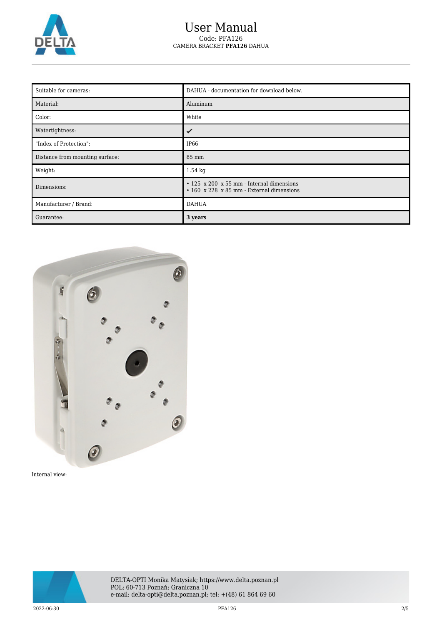

## User Manual Code: PFA126 CAMERA BRACKET **PFA126** DAHUA

| Suitable for cameras:           | DAHUA - documentation for download below.                                                    |
|---------------------------------|----------------------------------------------------------------------------------------------|
| Material:                       | Aluminum                                                                                     |
| Color:                          | White                                                                                        |
| Watertightness:                 |                                                                                              |
| "Index of Protection":          | IP66                                                                                         |
| Distance from mounting surface: | 85 mm                                                                                        |
| Weight:                         | $1.54 \text{ kg}$                                                                            |
| Dimensions:                     | $\cdot$ 125 x 200 x 55 mm - Internal dimensions<br>• 160 x 228 x 85 mm - External dimensions |
| Manufacturer / Brand:           | <b>DAHUA</b>                                                                                 |
| Guarantee:                      | 3 years                                                                                      |



Internal view:

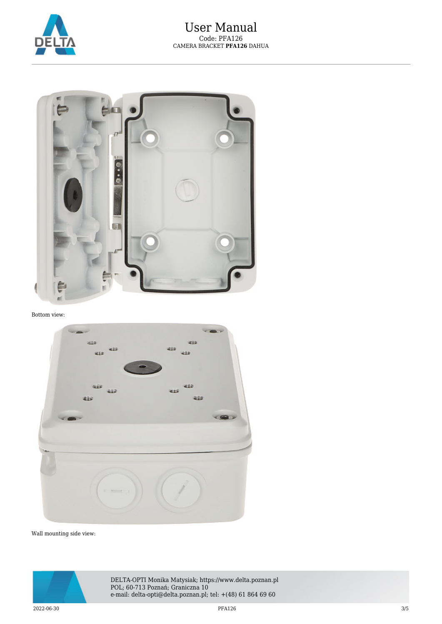



Bottom view:



Wall mounting side view:



DELTA-OPTI Monika Matysiak; https://www.delta.poznan.pl POL; 60-713 Poznań; Graniczna 10 e-mail: delta-opti@delta.poznan.pl; tel: +(48) 61 864 69 60

 $2022{\cdot}06{\cdot}30$   $3/5$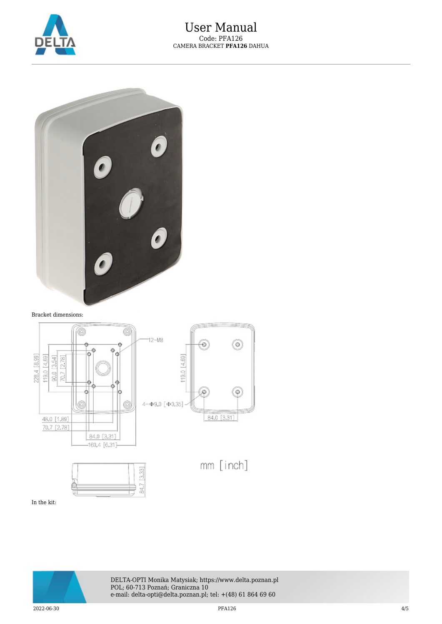



Bracket dimensions:



In the kit:



DELTA-OPTI Monika Matysiak; https://www.delta.poznan.pl POL; 60-713 Poznań; Graniczna 10 e-mail: delta-opti@delta.poznan.pl; tel: +(48) 61 864 69 60

 $2022{\cdot}06{\cdot}30$  and  $4/5$